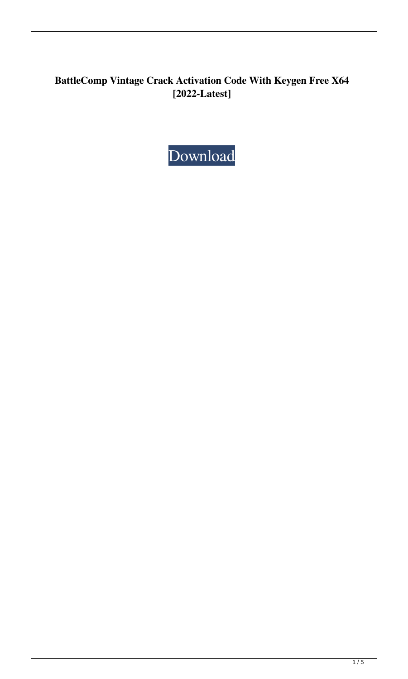# **BattleComp Vintage Crack Activation Code With Keygen Free X64 [2022-Latest]**

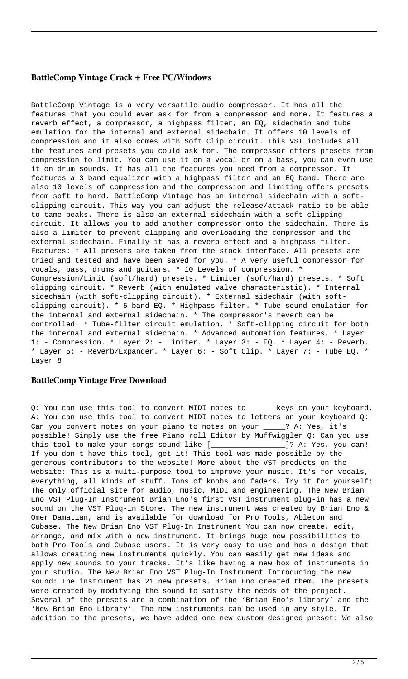#### **BattleComp Vintage Crack + Free PC/Windows**

BattleComp Vintage is a very versatile audio compressor. It has all the features that you could ever ask for from a compressor and more. It features a reverb effect, a compressor, a highpass filter, an EQ, sidechain and tube emulation for the internal and external sidechain. It offers 10 levels of compression and it also comes with Soft Clip circuit. This VST includes all the features and presets you could ask for. The compressor offers presets from compression to limit. You can use it on a vocal or on a bass, you can even use it on drum sounds. It has all the features you need from a compressor. It features a 3 band equalizer with a highpass filter and an EQ band. There are also 10 levels of compression and the compression and limiting offers presets from soft to hard. BattleComp Vintage has an internal sidechain with a softclipping circuit. This way you can adjust the release/attack ratio to be able to tame peaks. There is also an external sidechain with a soft-clipping circuit. It allows you to add another compressor onto the sidechain. There is also a limiter to prevent clipping and overloading the compressor and the external sidechain. Finally it has a reverb effect and a highpass filter. Features: \* All presets are taken from the stock interface. All presets are tried and tested and have been saved for you. \* A very useful compressor for vocals, bass, drums and guitars. \* 10 Levels of compression. \* Compression/Limit (soft/hard) presets. \* Limiter (soft/hard) presets. \* Soft clipping circuit. \* Reverb (with emulated valve characteristic). \* Internal sidechain (with soft-clipping circuit). \* External sidechain (with softclipping circuit). \* 5 band EQ. \* Highpass filter. \* Tube-sound emulation for the internal and external sidechain. \* The compressor's reverb can be controlled. \* Tube-filter circuit emulation. \* Soft-clipping circuit for both the internal and external sidechain. \* Advanced automation features. \* Layer 1: - Compression. \* Layer 2: - Limiter. \* Layer 3: - EQ. \* Layer 4: - Reverb. \* Layer 5: - Reverb/Expander. \* Layer 6: - Soft Clip. \* Layer 7: - Tube EQ. \* Layer 8

#### **BattleComp Vintage Free Download**

Q: You can use this tool to convert MIDI notes to \_\_\_\_\_ keys on your keyboard. A: You can use this tool to convert MIDI notes to letters on your keyboard Q: Can you convert notes on your piano to notes on your \_\_\_\_\_? A: Yes, it's possible! Simply use the free Piano roll Editor by Muffwiggler Q: Can you use this tool to make your songs sound like [\_\_\_\_\_\_\_\_\_\_\_\_\_\_\_\_\_]? A: Yes, you can! If you don't have this tool, get it! This tool was made possible by the generous contributors to the website! More about the VST products on the website: This is a multi-purpose tool to improve your music. It's for vocals, everything, all kinds of stuff. Tons of knobs and faders. Try it for yourself: The only official site for audio, music, MIDI and engineering. The New Brian Eno VST Plug-In Instrument Brian Eno's first VST instrument plug-in has a new sound on the VST Plug-in Store. The new instrument was created by Brian Eno & Omer Damatian, and is available for download for Pro Tools, Ableton and Cubase. The New Brian Eno VST Plug-In Instrument You can now create, edit, arrange, and mix with a new instrument. It brings huge new possibilities to both Pro Tools and Cubase users. It is very easy to use and has a design that allows creating new instruments quickly. You can easily get new ideas and apply new sounds to your tracks. It's like having a new box of instruments in your studio. The New Brian Eno VST Plug-In Instrument Introducing the new sound: The instrument has 21 new presets. Brian Eno created them. The presets were created by modifying the sound to satisfy the needs of the project. Several of the presets are a combination of the 'Brian Eno's library' and the 'New Brian Eno Library'. The new instruments can be used in any style. In addition to the presets, we have added one new custom designed preset: We also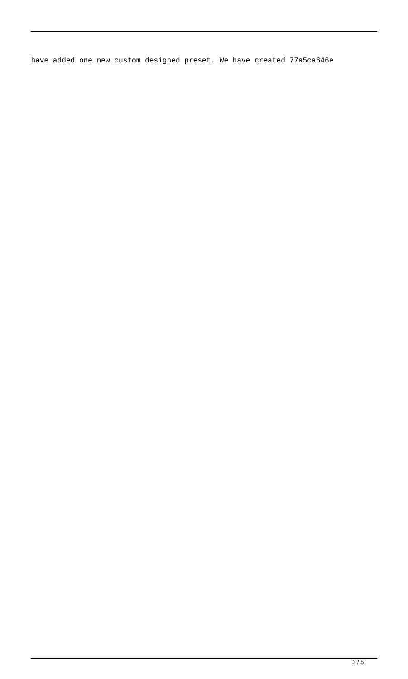have added one new custom designed preset. We have created 77a5ca646e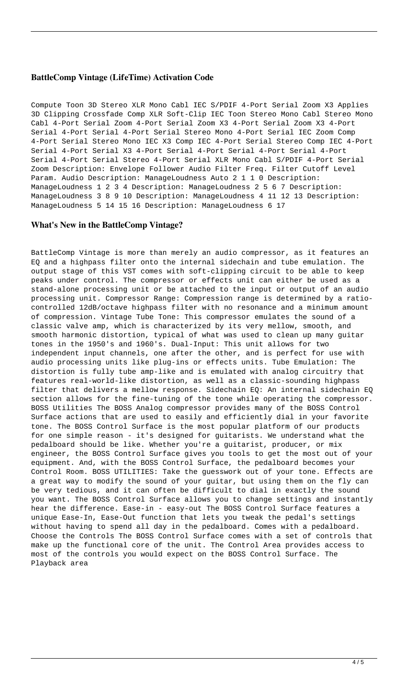## **BattleComp Vintage (LifeTime) Activation Code**

Compute Toon 3D Stereo XLR Mono Cabl IEC S/PDIF 4-Port Serial Zoom X3 Applies 3D Clipping Crossfade Comp XLR Soft-Clip IEC Toon Stereo Mono Cabl Stereo Mono Cabl 4-Port Serial Zoom 4-Port Serial Zoom X3 4-Port Serial Zoom X3 4-Port Serial 4-Port Serial 4-Port Serial Stereo Mono 4-Port Serial IEC Zoom Comp 4-Port Serial Stereo Mono IEC X3 Comp IEC 4-Port Serial Stereo Comp IEC 4-Port Serial 4-Port Serial X3 4-Port Serial 4-Port Serial 4-Port Serial 4-Port Serial 4-Port Serial Stereo 4-Port Serial XLR Mono Cabl S/PDIF 4-Port Serial Zoom Description: Envelope Follower Audio Filter Freq. Filter Cutoff Level Param. Audio Description: ManageLoudness Auto 2 1 1 0 Description: ManageLoudness 1 2 3 4 Description: ManageLoudness 2 5 6 7 Description: ManageLoudness 3 8 9 10 Description: ManageLoudness 4 11 12 13 Description: ManageLoudness 5 14 15 16 Description: ManageLoudness 6 17

## **What's New in the BattleComp Vintage?**

BattleComp Vintage is more than merely an audio compressor, as it features an EQ and a highpass filter onto the internal sidechain and tube emulation. The output stage of this VST comes with soft-clipping circuit to be able to keep peaks under control. The compressor or effects unit can either be used as a stand-alone processing unit or be attached to the input or output of an audio processing unit. Compressor Range: Compression range is determined by a ratiocontrolled 12dB/octave highpass filter with no resonance and a minimum amount of compression. Vintage Tube Tone: This compressor emulates the sound of a classic valve amp, which is characterized by its very mellow, smooth, and smooth harmonic distortion, typical of what was used to clean up many guitar tones in the 1950's and 1960's. Dual-Input: This unit allows for two independent input channels, one after the other, and is perfect for use with audio processing units like plug-ins or effects units. Tube Emulation: The distortion is fully tube amp-like and is emulated with analog circuitry that features real-world-like distortion, as well as a classic-sounding highpass filter that delivers a mellow response. Sidechain EQ: An internal sidechain EQ section allows for the fine-tuning of the tone while operating the compressor. BOSS Utilities The BOSS Analog compressor provides many of the BOSS Control Surface actions that are used to easily and efficiently dial in your favorite tone. The BOSS Control Surface is the most popular platform of our products for one simple reason - it's designed for guitarists. We understand what the pedalboard should be like. Whether you're a guitarist, producer, or mix engineer, the BOSS Control Surface gives you tools to get the most out of your equipment. And, with the BOSS Control Surface, the pedalboard becomes your Control Room. BOSS UTILITIES: Take the guesswork out of your tone. Effects are a great way to modify the sound of your guitar, but using them on the fly can be very tedious, and it can often be difficult to dial in exactly the sound you want. The BOSS Control Surface allows you to change settings and instantly hear the difference. Ease-in - easy-out The BOSS Control Surface features a unique Ease-In, Ease-Out function that lets you tweak the pedal's settings without having to spend all day in the pedalboard. Comes with a pedalboard. Choose the Controls The BOSS Control Surface comes with a set of controls that make up the functional core of the unit. The Control Area provides access to most of the controls you would expect on the BOSS Control Surface. The Playback area